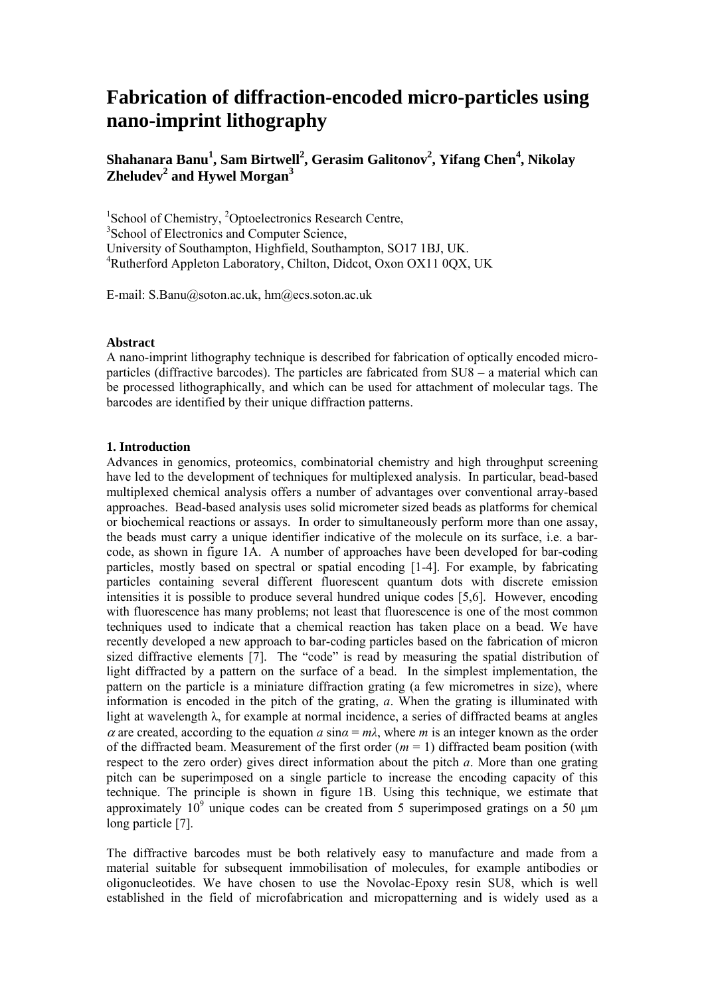# **Fabrication of diffraction-encoded micro-particles using nano-imprint lithography**

# $\boldsymbol{\mathrm{Shahanara\ Banu}^{1}},$   $\boldsymbol{\mathrm{Sam\ Birtwell}^{2}},$   $\boldsymbol{\mathrm{Gerasin\ Galitonov}^{2}},$   $\boldsymbol{\mathrm{Yifang\ Chen}^{4}},$   $\boldsymbol{\mathrm{Nikolay}}$ **Zheludev<sup>2</sup> and Hywel Morgan3**

<sup>1</sup>School of Chemistry, <sup>2</sup>Optoelectronics Research Centre, 3 School of Electronics and Computer Science, University of Southampton, Highfield, Southampton, SO17 1BJ, UK. 4 Rutherford Appleton Laboratory, Chilton, Didcot, Oxon OX11 0QX, UK

E-mail: S.Banu@soton.ac.uk, hm@ecs.soton.ac.uk

#### **Abstract**

A nano-imprint lithography technique is described for fabrication of optically encoded microparticles (diffractive barcodes). The particles are fabricated from SU8 – a material which can be processed lithographically, and which can be used for attachment of molecular tags. The barcodes are identified by their unique diffraction patterns.

### **1. Introduction**

Advances in genomics, proteomics, combinatorial chemistry and high throughput screening have led to the development of techniques for multiplexed analysis. In particular, bead-based multiplexed chemical analysis offers a number of advantages over conventional array-based approaches. Bead-based analysis uses solid micrometer sized beads as platforms for chemical or biochemical reactions or assays. In order to simultaneously perform more than one assay, the beads must carry a unique identifier indicative of the molecule on its surface, i.e. a barcode, as shown in figure 1A. A number of approaches have been developed for bar-coding particles, mostly based on spectral or spatial encoding [1-4]. For example, by fabricating particles containing several different fluorescent quantum dots with discrete emission intensities it is possible to produce several hundred unique codes [5,6]. However, encoding with fluorescence has many problems; not least that fluorescence is one of the most common techniques used to indicate that a chemical reaction has taken place on a bead. We have recently developed a new approach to bar-coding particles based on the fabrication of micron sized diffractive elements [7]. The "code" is read by measuring the spatial distribution of light diffracted by a pattern on the surface of a bead. In the simplest implementation, the pattern on the particle is a miniature diffraction grating (a few micrometres in size), where information is encoded in the pitch of the grating, *a*. When the grating is illuminated with light at wavelength λ, for example at normal incidence, a series of diffracted beams at angles  $\alpha$  are created, according to the equation  $a \sin \alpha = m\lambda$ , where *m* is an integer known as the order of the diffracted beam. Measurement of the first order  $(m = 1)$  diffracted beam position (with respect to the zero order) gives direct information about the pitch *a*. More than one grating pitch can be superimposed on a single particle to increase the encoding capacity of this technique. The principle is shown in figure 1B. Using this technique, we estimate that approximately  $10^9$  unique codes can be created from 5 superimposed gratings on a 50  $\mu$ m long particle [7].

The diffractive barcodes must be both relatively easy to manufacture and made from a material suitable for subsequent immobilisation of molecules, for example antibodies or oligonucleotides. We have chosen to use the Novolac-Epoxy resin SU8, which is well established in the field of microfabrication and micropatterning and is widely used as a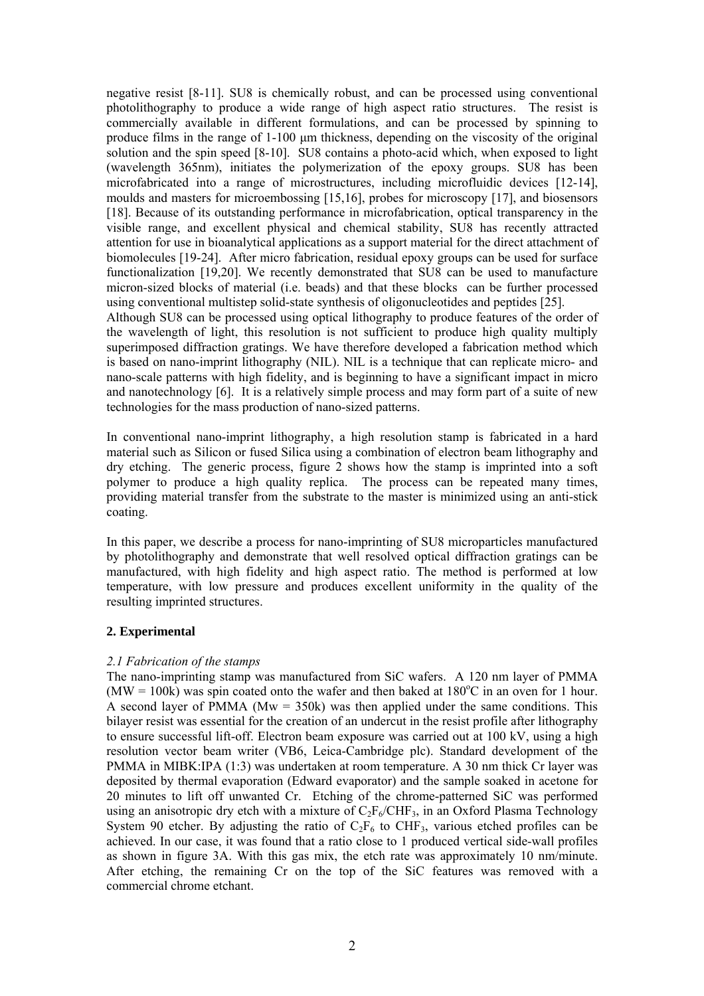negative resist [8-11]. SU8 is chemically robust, and can be processed using conventional photolithography to produce a wide range of high aspect ratio structures. The resist is commercially available in different formulations, and can be processed by spinning to produce films in the range of 1-100 μm thickness, depending on the viscosity of the original solution and the spin speed [8-10]. SU8 contains a photo-acid which, when exposed to light (wavelength 365nm), initiates the polymerization of the epoxy groups. SU8 has been microfabricated into a range of microstructures, including microfluidic devices [12-14], moulds and masters for microembossing [15,16], probes for microscopy [17], and biosensors [18]. Because of its outstanding performance in microfabrication, optical transparency in the visible range, and excellent physical and chemical stability, SU8 has recently attracted attention for use in bioanalytical applications as a support material for the direct attachment of biomolecules [19-24]. After micro fabrication, residual epoxy groups can be used for surface functionalization [19,20]. We recently demonstrated that SU8 can be used to manufacture micron-sized blocks of material (i.e. beads) and that these blocks can be further processed using conventional multistep solid-state synthesis of oligonucleotides and peptides [25]. Although SU8 can be processed using optical lithography to produce features of the order of the wavelength of light, this resolution is not sufficient to produce high quality multiply superimposed diffraction gratings. We have therefore developed a fabrication method which is based on nano-imprint lithography (NIL). NIL is a technique that can replicate micro- and nano-scale patterns with high fidelity, and is beginning to have a significant impact in micro and nanotechnology [6]. It is a relatively simple process and may form part of a suite of new technologies for the mass production of nano-sized patterns.

In conventional nano-imprint lithography, a high resolution stamp is fabricated in a hard material such as Silicon or fused Silica using a combination of electron beam lithography and dry etching. The generic process, figure 2 shows how the stamp is imprinted into a soft polymer to produce a high quality replica. The process can be repeated many times, providing material transfer from the substrate to the master is minimized using an anti-stick coating.

In this paper, we describe a process for nano-imprinting of SU8 microparticles manufactured by photolithography and demonstrate that well resolved optical diffraction gratings can be manufactured, with high fidelity and high aspect ratio. The method is performed at low temperature, with low pressure and produces excellent uniformity in the quality of the resulting imprinted structures.

### **2. Experimental**

### *2.1 Fabrication of the stamps*

The nano-imprinting stamp was manufactured from SiC wafers. A 120 nm layer of PMMA  $(MW = 100k)$  was spin coated onto the wafer and then baked at 180°C in an oven for 1 hour. A second layer of PMMA ( $Mw = 350k$ ) was then applied under the same conditions. This bilayer resist was essential for the creation of an undercut in the resist profile after lithography to ensure successful lift-off. Electron beam exposure was carried out at 100 kV, using a high resolution vector beam writer (VB6, Leica-Cambridge plc). Standard development of the PMMA in MIBK:IPA (1:3) was undertaken at room temperature. A 30 nm thick Cr layer was deposited by thermal evaporation (Edward evaporator) and the sample soaked in acetone for 20 minutes to lift off unwanted Cr. Etching of the chrome-patterned SiC was performed using an anisotropic dry etch with a mixture of  $C_2F_6/CHF_3$ , in an Oxford Plasma Technology System 90 etcher. By adjusting the ratio of  $C_2F_6$  to CHF<sub>3</sub>, various etched profiles can be achieved. In our case, it was found that a ratio close to 1 produced vertical side-wall profiles as shown in figure 3A. With this gas mix, the etch rate was approximately 10 nm/minute. After etching, the remaining Cr on the top of the SiC features was removed with a commercial chrome etchant.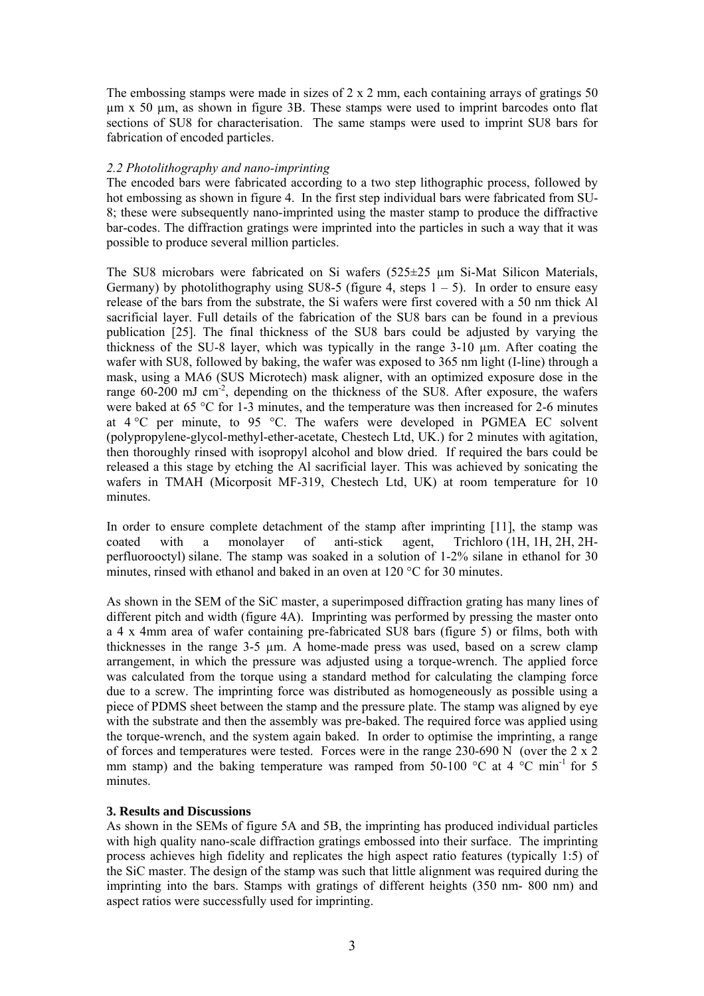The embossing stamps were made in sizes of  $2 \times 2$  mm, each containing arrays of gratings 50 µm x 50 µm, as shown in figure 3B. These stamps were used to imprint barcodes onto flat sections of SU8 for characterisation. The same stamps were used to imprint SU8 bars for fabrication of encoded particles.

### *2.2 Photolithography and nano-imprinting*

The encoded bars were fabricated according to a two step lithographic process, followed by hot embossing as shown in figure 4. In the first step individual bars were fabricated from SU-8; these were subsequently nano-imprinted using the master stamp to produce the diffractive bar-codes. The diffraction gratings were imprinted into the particles in such a way that it was possible to produce several million particles.

The SU8 microbars were fabricated on Si wafers (525±25 µm Si-Mat Silicon Materials, Germany) by photolithography using SU8-5 (figure 4, steps  $1 - 5$ ). In order to ensure easy release of the bars from the substrate, the Si wafers were first covered with a 50 nm thick Al sacrificial layer. Full details of the fabrication of the SU8 bars can be found in a previous publication [25]. The final thickness of the SU8 bars could be adjusted by varying the thickness of the SU-8 layer, which was typically in the range 3-10 µm. After coating the wafer with SU8, followed by baking, the wafer was exposed to 365 nm light (I-line) through a mask, using a MA6 (SUS Microtech) mask aligner, with an optimized exposure dose in the range  $60-200$  mJ cm<sup>-2</sup>, depending on the thickness of the SU8. After exposure, the wafers were baked at 65 °C for 1-3 minutes, and the temperature was then increased for 2-6 minutes at  $4^{\circ}$ C per minute, to 95  $^{\circ}$ C. The wafers were developed in PGMEA EC solvent (polypropylene-glycol-methyl-ether-acetate, Chestech Ltd, UK.) for 2 minutes with agitation, then thoroughly rinsed with isopropyl alcohol and blow dried. If required the bars could be released a this stage by etching the Al sacrificial layer. This was achieved by sonicating the wafers in TMAH (Micorposit MF-319, Chestech Ltd, UK) at room temperature for 10 minutes.

In order to ensure complete detachment of the stamp after imprinting [11], the stamp was coated with a monolayer of anti-stick agent, Trichloro (1H, 1H, 2H, 2Hperfluorooctyl) silane. The stamp was soaked in a solution of 1-2% silane in ethanol for 30 minutes, rinsed with ethanol and baked in an oven at 120 °C for 30 minutes.

As shown in the SEM of the SiC master, a superimposed diffraction grating has many lines of different pitch and width (figure 4A). Imprinting was performed by pressing the master onto a 4 x 4mm area of wafer containing pre-fabricated SU8 bars (figure 5) or films, both with thicknesses in the range 3-5 µm. A home-made press was used, based on a screw clamp arrangement, in which the pressure was adjusted using a torque-wrench. The applied force was calculated from the torque using a standard method for calculating the clamping force due to a screw. The imprinting force was distributed as homogeneously as possible using a piece of PDMS sheet between the stamp and the pressure plate. The stamp was aligned by eye with the substrate and then the assembly was pre-baked. The required force was applied using the torque-wrench, and the system again baked. In order to optimise the imprinting, a range of forces and temperatures were tested. Forces were in the range 230-690 N (over the  $2 \times 2$ ) mm stamp) and the baking temperature was ramped from 50-100  $^{\circ}$ C at 4  $^{\circ}$ C min<sup>-1</sup> for 5 minutes.

## **3. Results and Discussions**

As shown in the SEMs of figure 5A and 5B, the imprinting has produced individual particles with high quality nano-scale diffraction gratings embossed into their surface. The imprinting process achieves high fidelity and replicates the high aspect ratio features (typically 1:5) of the SiC master. The design of the stamp was such that little alignment was required during the imprinting into the bars. Stamps with gratings of different heights (350 nm- 800 nm) and aspect ratios were successfully used for imprinting.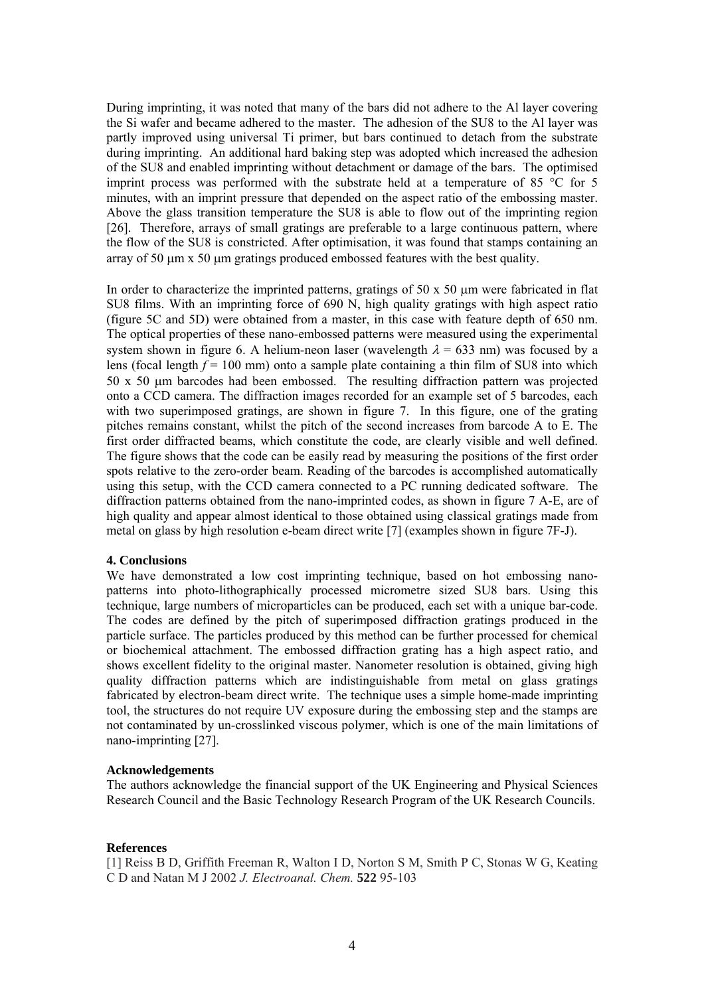During imprinting, it was noted that many of the bars did not adhere to the Al layer covering the Si wafer and became adhered to the master. The adhesion of the SU8 to the Al layer was partly improved using universal Ti primer, but bars continued to detach from the substrate during imprinting. An additional hard baking step was adopted which increased the adhesion of the SU8 and enabled imprinting without detachment or damage of the bars. The optimised imprint process was performed with the substrate held at a temperature of 85 °C for 5 minutes, with an imprint pressure that depended on the aspect ratio of the embossing master. Above the glass transition temperature the SU8 is able to flow out of the imprinting region [26]. Therefore, arrays of small gratings are preferable to a large continuous pattern, where the flow of the SU8 is constricted. After optimisation, it was found that stamps containing an array of 50 μm x 50 μm gratings produced embossed features with the best quality.

In order to characterize the imprinted patterns, gratings of  $50 \times 50 \mu m$  were fabricated in flat SU8 films. With an imprinting force of 690 N, high quality gratings with high aspect ratio (figure 5C and 5D) were obtained from a master, in this case with feature depth of 650 nm. The optical properties of these nano-embossed patterns were measured using the experimental system shown in figure 6. A helium-neon laser (wavelength  $\lambda = 633$  nm) was focused by a lens (focal length  $f = 100$  mm) onto a sample plate containing a thin film of SU8 into which 50 x 50 μm barcodes had been embossed. The resulting diffraction pattern was projected onto a CCD camera. The diffraction images recorded for an example set of 5 barcodes, each with two superimposed gratings, are shown in figure 7. In this figure, one of the grating pitches remains constant, whilst the pitch of the second increases from barcode A to E. The first order diffracted beams, which constitute the code, are clearly visible and well defined. The figure shows that the code can be easily read by measuring the positions of the first order spots relative to the zero-order beam. Reading of the barcodes is accomplished automatically using this setup, with the CCD camera connected to a PC running dedicated software. The diffraction patterns obtained from the nano-imprinted codes, as shown in figure 7 A-E, are of high quality and appear almost identical to those obtained using classical gratings made from metal on glass by high resolution e-beam direct write [7] (examples shown in figure 7F-J).

#### **4. Conclusions**

We have demonstrated a low cost imprinting technique, based on hot embossing nanopatterns into photo-lithographically processed micrometre sized SU8 bars. Using this technique, large numbers of microparticles can be produced, each set with a unique bar-code. The codes are defined by the pitch of superimposed diffraction gratings produced in the particle surface. The particles produced by this method can be further processed for chemical or biochemical attachment. The embossed diffraction grating has a high aspect ratio, and shows excellent fidelity to the original master. Nanometer resolution is obtained, giving high quality diffraction patterns which are indistinguishable from metal on glass gratings fabricated by electron-beam direct write. The technique uses a simple home-made imprinting tool, the structures do not require UV exposure during the embossing step and the stamps are not contaminated by un-crosslinked viscous polymer, which is one of the main limitations of nano-imprinting [27].

#### **Acknowledgements**

The authors acknowledge the financial support of the UK Engineering and Physical Sciences Research Council and the Basic Technology Research Program of the UK Research Councils.

#### **References**

[1] Reiss B D, Griffith Freeman R, Walton I D, Norton S M, Smith P C, Stonas W G, Keating C D and Natan M J 2002 *J. Electroanal. Chem.* **522** 95-103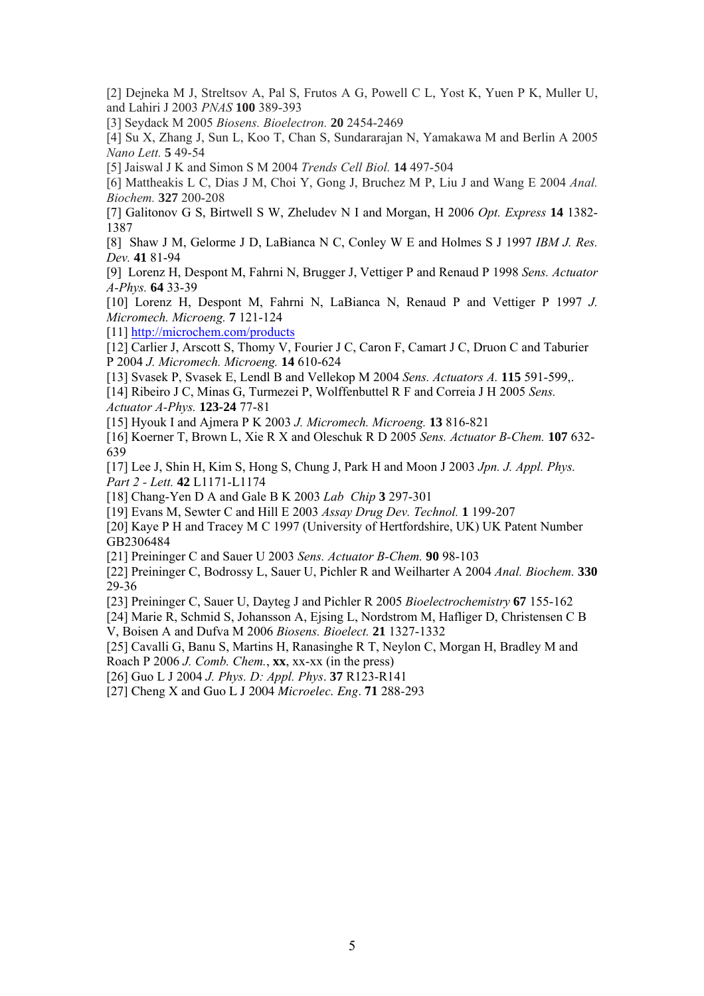[2] Dejneka M J, Streltsov A, Pal S, Frutos A G, Powell C L, Yost K, Yuen P K, Muller U, and Lahiri J 2003 *PNAS* **100** 389-393

[3] Seydack M 2005 *Biosens. Bioelectron.* **20** 2454-2469

[4] Su X, Zhang J, Sun L, Koo T, Chan S, Sundararajan N, Yamakawa M and Berlin A 2005 *Nano Lett.* **5** 49-54

[5] Jaiswal J K and Simon S M 2004 *Trends Cell Biol.* **14** 497-504

[6] Mattheakis L C, Dias J M, Choi Y, Gong J, Bruchez M P, Liu J and Wang E 2004 *Anal. Biochem.* **327** 200-208

[7] Galitonov G S, Birtwell S W, Zheludev N I and Morgan, H 2006 *Opt. Express* **14** 1382- 1387

[8] Shaw J M, Gelorme J D, LaBianca N C, Conley W E and Holmes S J 1997 *IBM J. Res. Dev.* **41** 81-94

[9] Lorenz H, Despont M, Fahrni N, Brugger J, Vettiger P and Renaud P 1998 *Sens. Actuator A-Phys.* **64** 33-39

[10] Lorenz H, Despont M, Fahrni N, LaBianca N, Renaud P and Vettiger P 1997 *J. Micromech. Microeng.* **7** 121-124

[11] http://microchem.com/products

[12] Carlier J, Arscott S, Thomy V, Fourier J C, Caron F, Camart J C, Druon C and Taburier P 2004 *J. Micromech. Microeng.* **14** 610-624

[13] Svasek P, Svasek E, Lendl B and Vellekop M 2004 *Sens. Actuators A.* **115** 591-599,.

[14] Ribeiro J C, Minas G, Turmezei P, Wolffenbuttel R F and Correia J H 2005 *Sens. Actuator A-Phys.* **123-24** 77-81

[15] Hyouk I and Ajmera P K 2003 *J. Micromech. Microeng.* **13** 816-821

[16] Koerner T, Brown L, Xie R X and Oleschuk R D 2005 *Sens. Actuator B-Chem.* **107** 632- 639

[17] Lee J, Shin H, Kim S, Hong S, Chung J, Park H and Moon J 2003 *Jpn. J. Appl. Phys. Part 2 - Lett.* **42** L1171-L1174

[18] Chang-Yen D A and Gale B K 2003 *Lab Chip* **3** 297-301

[19] Evans M, Sewter C and Hill E 2003 *Assay Drug Dev. Technol.* **1** 199-207

[20] Kaye P H and Tracey M C 1997 (University of Hertfordshire, UK) UK Patent Number GB2306484

[21] Preininger C and Sauer U 2003 *Sens. Actuator B-Chem.* **90** 98-103

[22] Preininger C, Bodrossy L, Sauer U, Pichler R and Weilharter A 2004 *Anal. Biochem.* **330** 29-36

[23] Preininger C, Sauer U, Dayteg J and Pichler R 2005 *Bioelectrochemistry* **67** 155-162

[24] Marie R, Schmid S, Johansson A, Ejsing L, Nordstrom M, Hafliger D, Christensen C B V, Boisen A and Dufva M 2006 *Biosens. Bioelect.* **21** 1327-1332

[25] Cavalli G, Banu S, Martins H, Ranasinghe R T, Neylon C, Morgan H, Bradley M and Roach P 2006 *J. Comb. Chem.*, **xx**, xx-xx (in the press)

[26] Guo L J 2004 *J. Phys. D: Appl. Phys*. **37** R123-R141

[27] Cheng X and Guo L J 2004 *Microelec. Eng*. **71** 288-293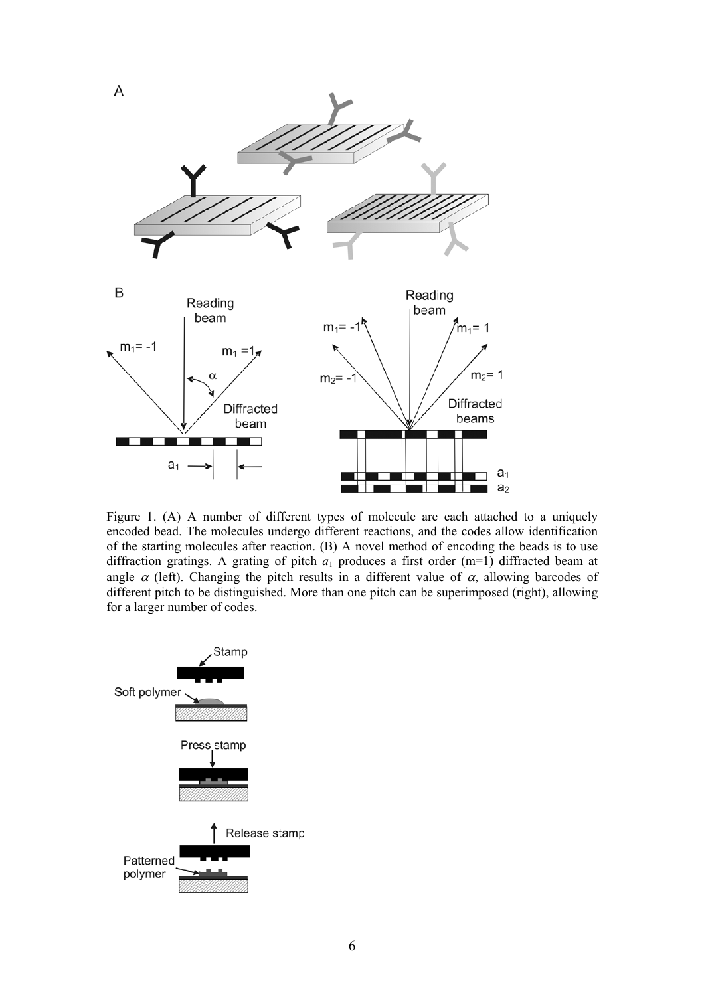

Figure 1. (A) A number of different types of molecule are each attached to a uniquely encoded bead. The molecules undergo different reactions, and the codes allow identification of the starting molecules after reaction. (B) A novel method of encoding the beads is to use diffraction gratings. A grating of pitch  $a_1$  produces a first order  $(m=1)$  diffracted beam at angle  $\alpha$  (left). Changing the pitch results in a different value of  $\alpha$ , allowing barcodes of different pitch to be distinguished. More than one pitch can be superimposed (right), allowing for a larger number of codes.

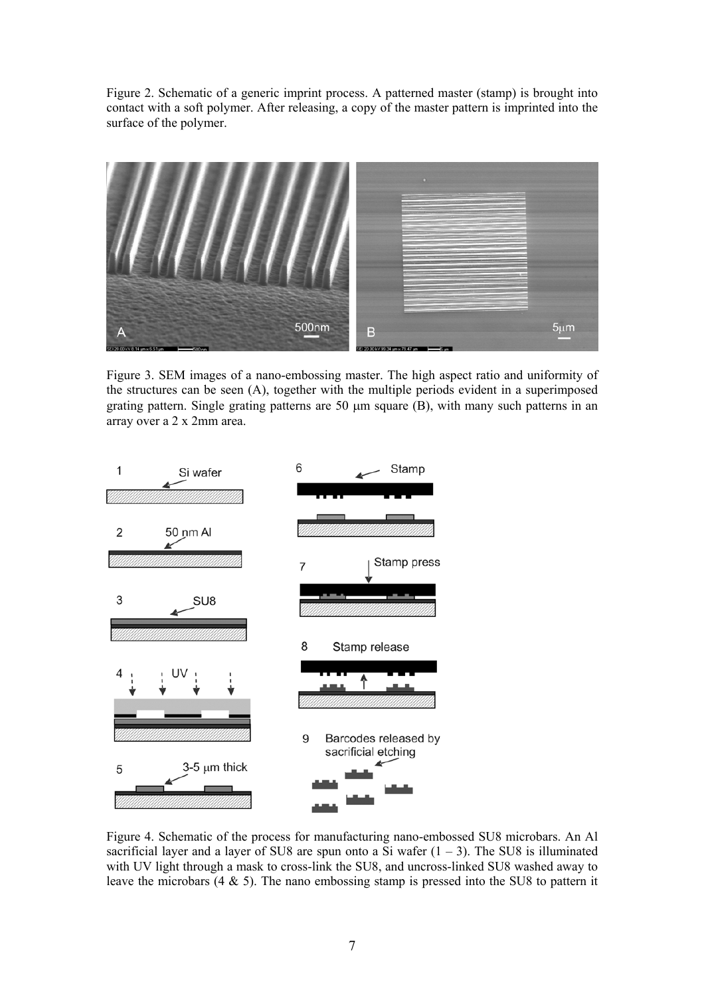Figure 2. Schematic of a generic imprint process. A patterned master (stamp) is brought into contact with a soft polymer. After releasing, a copy of the master pattern is imprinted into the surface of the polymer.



Figure 3. SEM images of a nano-embossing master. The high aspect ratio and uniformity of the structures can be seen (A), together with the multiple periods evident in a superimposed grating pattern. Single grating patterns are 50 μm square (B), with many such patterns in an array over a 2 x 2mm area.



Figure 4. Schematic of the process for manufacturing nano-embossed SU8 microbars. An Al sacrificial layer and a layer of SU8 are spun onto a Si wafer  $(1 – 3)$ . The SU8 is illuminated with UV light through a mask to cross-link the SU8, and uncross-linked SU8 washed away to leave the microbars (4 & 5). The nano embossing stamp is pressed into the SU8 to pattern it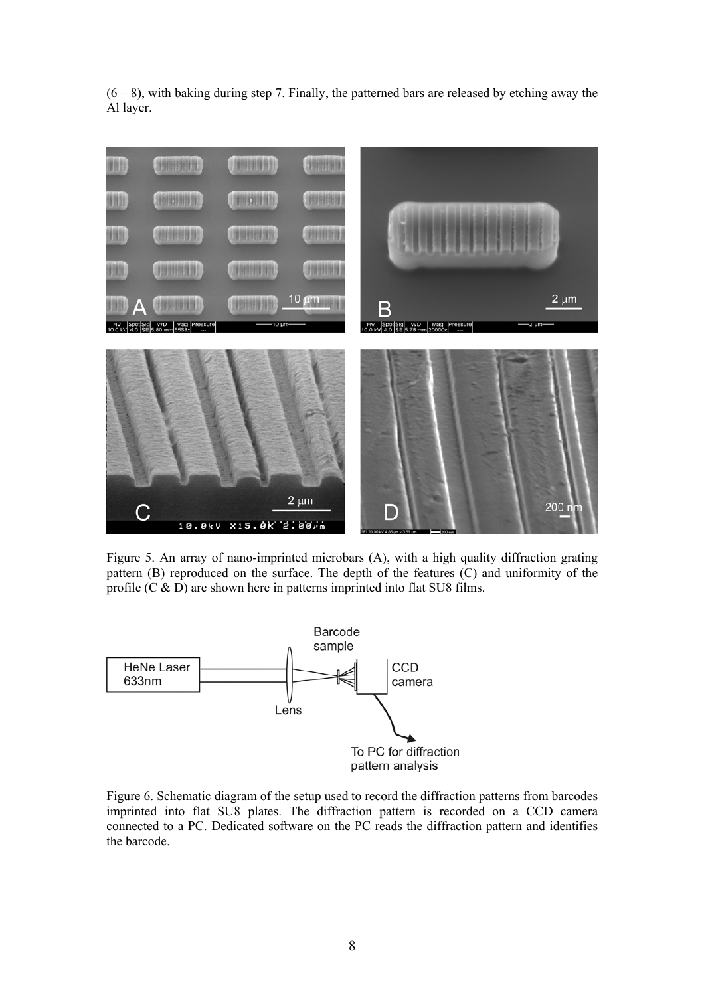$(6 - 8)$ , with baking during step 7. Finally, the patterned bars are released by etching away the Al layer.



Figure 5. An array of nano-imprinted microbars (A), with a high quality diffraction grating pattern (B) reproduced on the surface. The depth of the features (C) and uniformity of the profile  $(C & D)$  are shown here in patterns imprinted into flat SU8 films.



Figure 6. Schematic diagram of the setup used to record the diffraction patterns from barcodes imprinted into flat SU8 plates. The diffraction pattern is recorded on a CCD camera connected to a PC. Dedicated software on the PC reads the diffraction pattern and identifies the barcode.